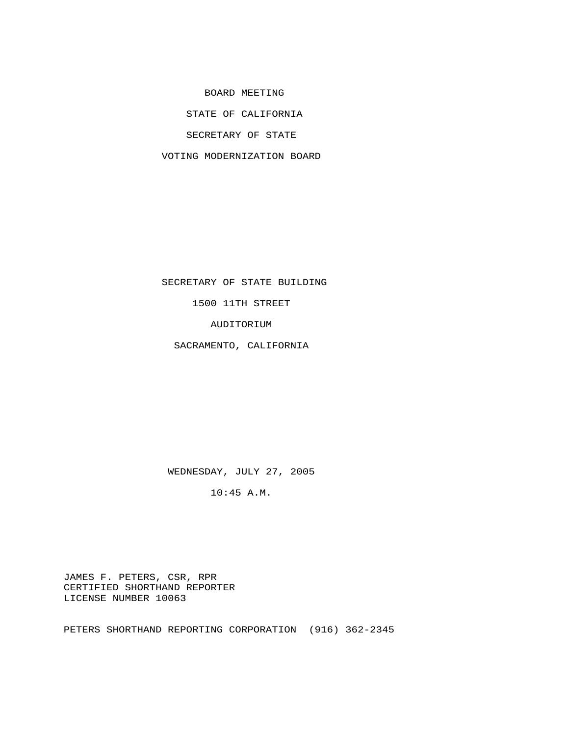BOARD MEETING

STATE OF CALIFORNIA

SECRETARY OF STATE

VOTING MODERNIZATION BOARD

 SECRETARY OF STATE BUILDING 1500 11TH STREET

AUDITORIUM

SACRAMENTO, CALIFORNIA

WEDNESDAY, JULY 27, 2005

10:45 A.M.

 JAMES F. PETERS, CSR, RPR CERTIFIED SHORTHAND REPORTER LICENSE NUMBER 10063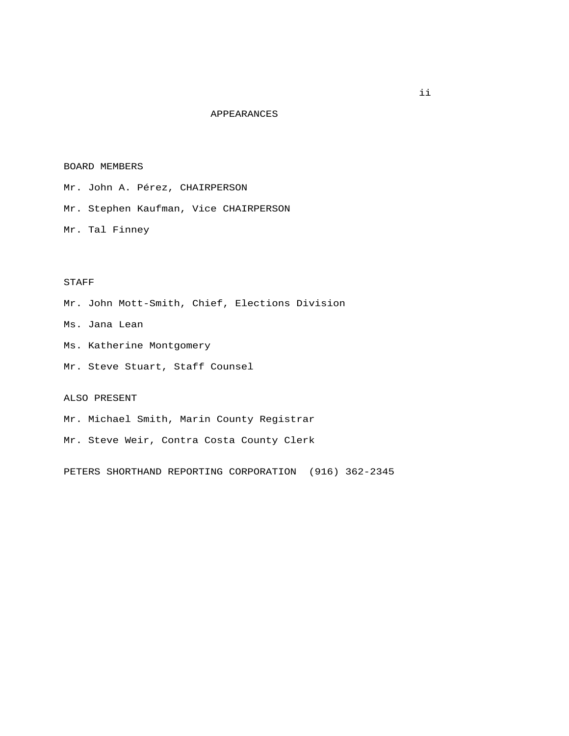## APPEARANCES

## BOARD MEMBERS

 Mr. John A. Pérez, CHAIRPERSON Mr. Stephen Kaufman, Vice CHAIRPERSON Mr. Tal Finney

## STAFF

Mr. John Mott-Smith, Chief, Elections Division

Ms. Jana Lean

Ms. Katherine Montgomery

Mr. Steve Stuart, Staff Counsel

## ALSO PRESENT

Mr. Michael Smith, Marin County Registrar

Mr. Steve Weir, Contra Costa County Clerk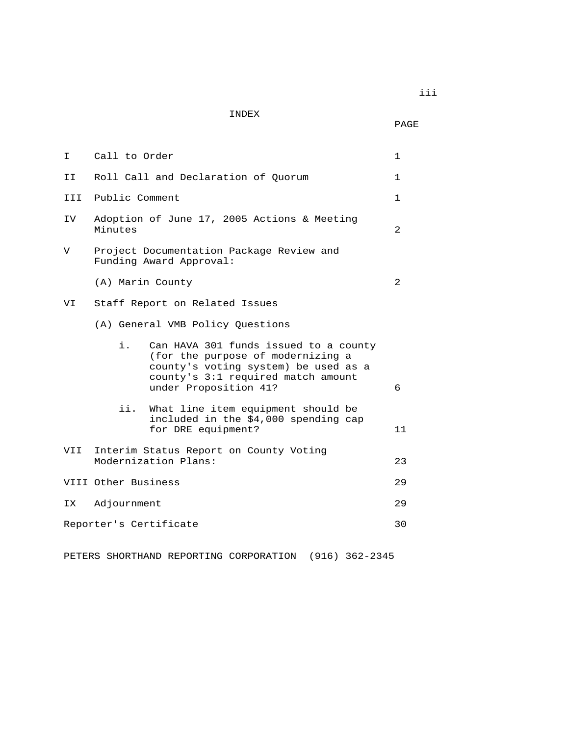INDEX

PAGE

| I.  | Call to Order                                                                                                                                                                           | $\mathbf 1$  |
|-----|-----------------------------------------------------------------------------------------------------------------------------------------------------------------------------------------|--------------|
| II  | Roll Call and Declaration of Ouorum                                                                                                                                                     | $\mathbf 1$  |
| III | Public Comment                                                                                                                                                                          | $\mathbf{1}$ |
| IV  | Adoption of June 17, 2005 Actions & Meeting<br>Minutes                                                                                                                                  | 2            |
| V   | Project Documentation Package Review and<br>Funding Award Approval:                                                                                                                     |              |
|     | (A) Marin County                                                                                                                                                                        | 2            |
| VI  | Staff Report on Related Issues                                                                                                                                                          |              |
|     | (A) General VMB Policy Questions                                                                                                                                                        |              |
|     | i.<br>Can HAVA 301 funds issued to a county<br>(for the purpose of modernizing a<br>county's voting system) be used as a<br>county's 3:1 required match amount<br>under Proposition 41? | 6            |
|     | ii.<br>What line item equipment should be<br>included in the \$4,000 spending cap<br>for DRE equipment?                                                                                 | 11           |
| VII | Interim Status Report on County Voting<br>Modernization Plans:                                                                                                                          | 23           |
|     | VIII Other Business                                                                                                                                                                     | 29           |
| IX  | Adjournment                                                                                                                                                                             | 29           |
|     | Reporter's Certificate                                                                                                                                                                  | 30           |
|     |                                                                                                                                                                                         |              |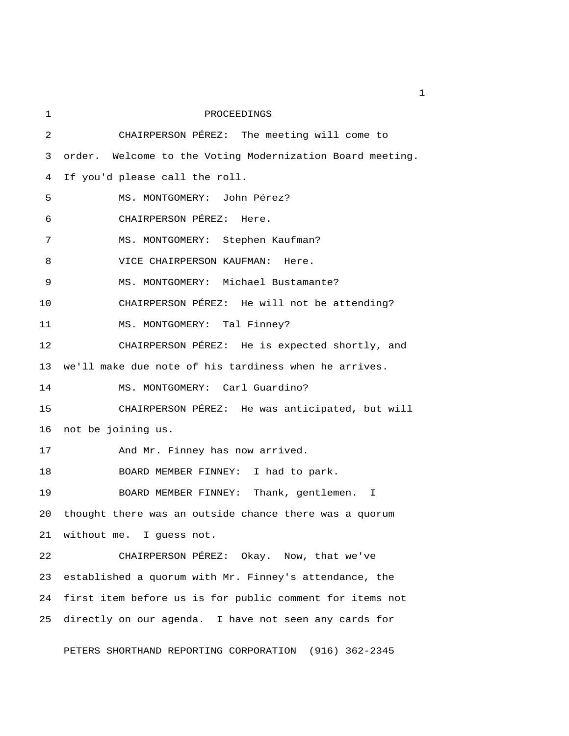| 1  | PROCEEDINGS                                               |  |  |
|----|-----------------------------------------------------------|--|--|
| 2  | CHAIRPERSON PÉREZ: The meeting will come to               |  |  |
| 3  | order. Welcome to the Voting Modernization Board meeting. |  |  |
| 4  | If you'd please call the roll.                            |  |  |
| 5  | MS. MONTGOMERY: John Pérez?                               |  |  |
| 6  | CHAIRPERSON PÉREZ: Here.                                  |  |  |
| 7  | MS. MONTGOMERY: Stephen Kaufman?                          |  |  |
| 8  | VICE CHAIRPERSON KAUFMAN: Here.                           |  |  |
| 9  | MS. MONTGOMERY: Michael Bustamante?                       |  |  |
| 10 | CHAIRPERSON PÉREZ: He will not be attending?              |  |  |
| 11 | MS. MONTGOMERY: Tal Finney?                               |  |  |
| 12 | CHAIRPERSON PÉREZ: He is expected shortly, and            |  |  |
| 13 | we'll make due note of his tardiness when he arrives.     |  |  |
| 14 | MS. MONTGOMERY: Carl Guardino?                            |  |  |
| 15 | CHAIRPERSON PÉREZ: He was anticipated, but will           |  |  |
| 16 | not be joining us.                                        |  |  |
| 17 | And Mr. Finney has now arrived.                           |  |  |
| 18 | BOARD MEMBER FINNEY: I had to park.                       |  |  |
| 19 | BOARD MEMBER FINNEY: Thank, gentlemen. I                  |  |  |
| 20 | thought there was an outside chance there was a quorum    |  |  |
| 21 | without me. I guess not.                                  |  |  |
| 22 | CHAIRPERSON PÉREZ: Okay. Now, that we've                  |  |  |
| 23 | established a quorum with Mr. Finney's attendance, the    |  |  |
| 24 | first item before us is for public comment for items not  |  |  |
| 25 | directly on our agenda. I have not seen any cards for     |  |  |
|    |                                                           |  |  |

PETERS SHORTHAND REPORTING CORPORATION (916) 362-2345

 $\mathbf{1}$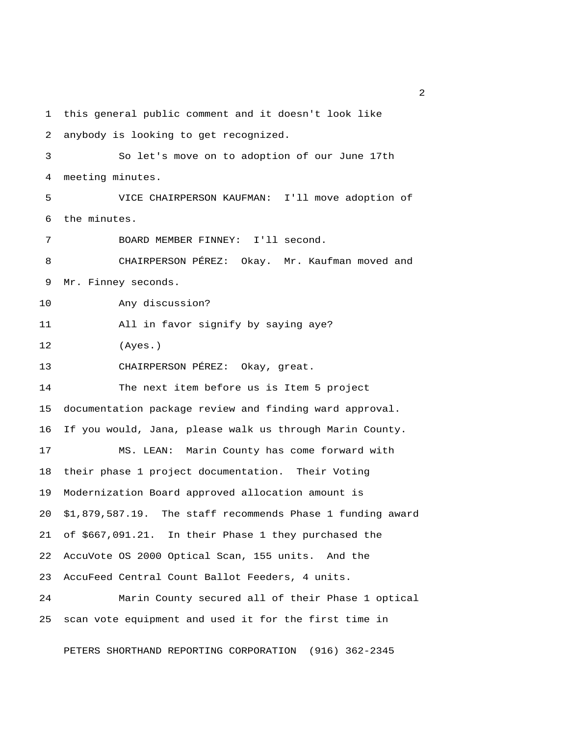1 this general public comment and it doesn't look like 2 anybody is looking to get recognized. 3 So let's move on to adoption of our June 17th 4 meeting minutes. 5 VICE CHAIRPERSON KAUFMAN: I'll move adoption of 6 the minutes. 7 BOARD MEMBER FINNEY: I'll second. 8 CHAIRPERSON PÉREZ: Okay. Mr. Kaufman moved and 9 Mr. Finney seconds. 10 Any discussion? 11 All in favor signify by saying aye? 12 (Ayes.) 13 CHAIRPERSON PÉREZ: Okay, great. 14 The next item before us is Item 5 project 15 documentation package review and finding ward approval. 16 If you would, Jana, please walk us through Marin County. 17 MS. LEAN: Marin County has come forward with 18 their phase 1 project documentation. Their Voting 19 Modernization Board approved allocation amount is 20 \$1,879,587.19. The staff recommends Phase 1 funding award 21 of \$667,091.21. In their Phase 1 they purchased the 22 AccuVote OS 2000 Optical Scan, 155 units. And the 23 AccuFeed Central Count Ballot Feeders, 4 units. 24 Marin County secured all of their Phase 1 optical 25 scan vote equipment and used it for the first time in

PETERS SHORTHAND REPORTING CORPORATION (916) 362-2345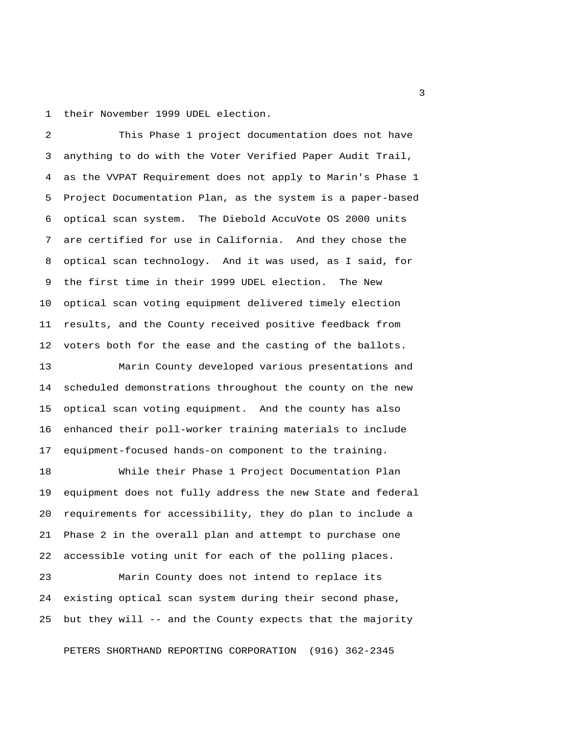1 their November 1999 UDEL election.

 2 This Phase 1 project documentation does not have 3 anything to do with the Voter Verified Paper Audit Trail, 4 as the VVPAT Requirement does not apply to Marin's Phase 1 5 Project Documentation Plan, as the system is a paper-based 6 optical scan system. The Diebold AccuVote OS 2000 units 7 are certified for use in California. And they chose the 8 optical scan technology. And it was used, as I said, for 9 the first time in their 1999 UDEL election. The New 10 optical scan voting equipment delivered timely election 11 results, and the County received positive feedback from 12 voters both for the ease and the casting of the ballots.

13 Marin County developed various presentations and 14 scheduled demonstrations throughout the county on the new 15 optical scan voting equipment. And the county has also 16 enhanced their poll-worker training materials to include 17 equipment-focused hands-on component to the training.

18 While their Phase 1 Project Documentation Plan 19 equipment does not fully address the new State and federal 20 requirements for accessibility, they do plan to include a 21 Phase 2 in the overall plan and attempt to purchase one 22 accessible voting unit for each of the polling places.

23 Marin County does not intend to replace its 24 existing optical scan system during their second phase, 25 but they will -- and the County expects that the majority

PETERS SHORTHAND REPORTING CORPORATION (916) 362-2345

 $\overline{\mathbf{3}}$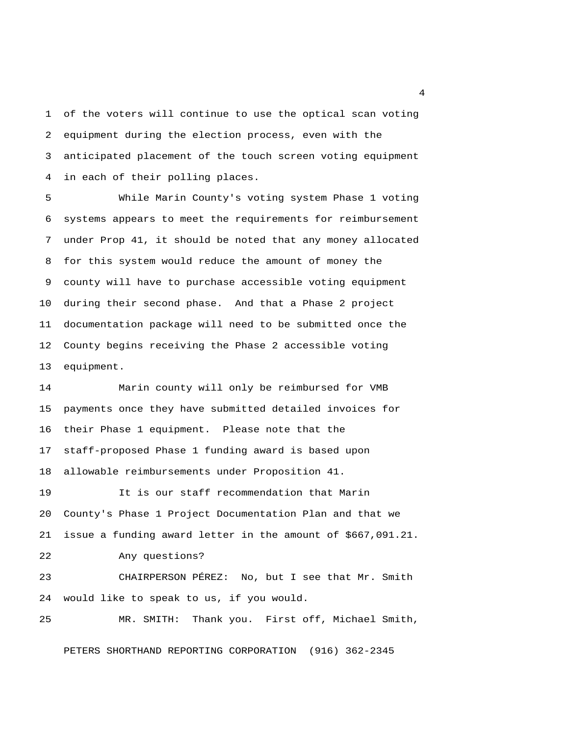1 of the voters will continue to use the optical scan voting 2 equipment during the election process, even with the 3 anticipated placement of the touch screen voting equipment 4 in each of their polling places.

 5 While Marin County's voting system Phase 1 voting 6 systems appears to meet the requirements for reimbursement 7 under Prop 41, it should be noted that any money allocated 8 for this system would reduce the amount of money the 9 county will have to purchase accessible voting equipment 10 during their second phase. And that a Phase 2 project 11 documentation package will need to be submitted once the 12 County begins receiving the Phase 2 accessible voting 13 equipment.

14 Marin county will only be reimbursed for VMB 15 payments once they have submitted detailed invoices for 16 their Phase 1 equipment. Please note that the 17 staff-proposed Phase 1 funding award is based upon 18 allowable reimbursements under Proposition 41. 19 It is our staff recommendation that Marin 20 County's Phase 1 Project Documentation Plan and that we 21 issue a funding award letter in the amount of \$667,091.21. 22 Any questions? 23 CHAIRPERSON PÉREZ: No, but I see that Mr. Smith 24 would like to speak to us, if you would. 25 MR. SMITH: Thank you. First off, Michael Smith,

PETERS SHORTHAND REPORTING CORPORATION (916) 362-2345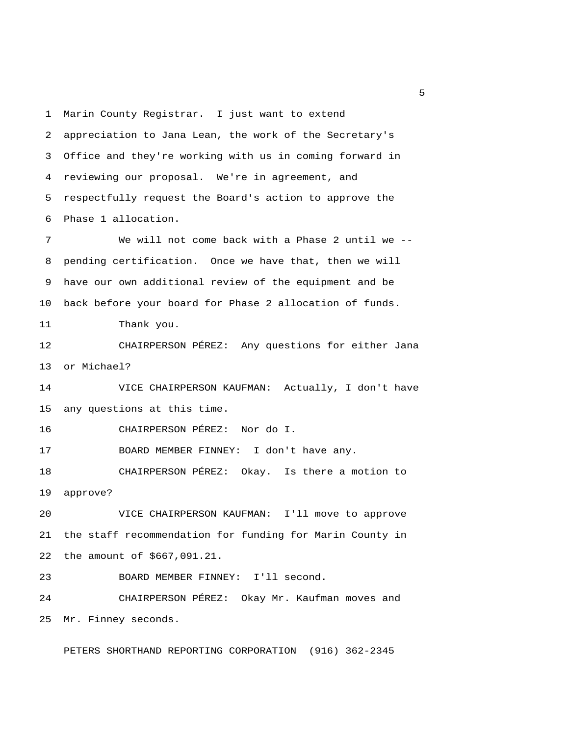1 Marin County Registrar. I just want to extend 2 appreciation to Jana Lean, the work of the Secretary's 3 Office and they're working with us in coming forward in 4 reviewing our proposal. We're in agreement, and 5 respectfully request the Board's action to approve the 6 Phase 1 allocation. 7 We will not come back with a Phase 2 until we -- 8 pending certification. Once we have that, then we will 9 have our own additional review of the equipment and be 10 back before your board for Phase 2 allocation of funds. 11 Thank you. 12 CHAIRPERSON PÉREZ: Any questions for either Jana 13 or Michael? 14 VICE CHAIRPERSON KAUFMAN: Actually, I don't have 15 any questions at this time. 16 CHAIRPERSON PÉREZ: Nor do I. 17 BOARD MEMBER FINNEY: I don't have any. 18 CHAIRPERSON PÉREZ: Okay. Is there a motion to 19 approve? 20 VICE CHAIRPERSON KAUFMAN: I'll move to approve 21 the staff recommendation for funding for Marin County in 22 the amount of \$667,091.21. 23 BOARD MEMBER FINNEY: I'll second. 24 CHAIRPERSON PÉREZ: Okay Mr. Kaufman moves and 25 Mr. Finney seconds.

PETERS SHORTHAND REPORTING CORPORATION (916) 362-2345

 $\sim$  5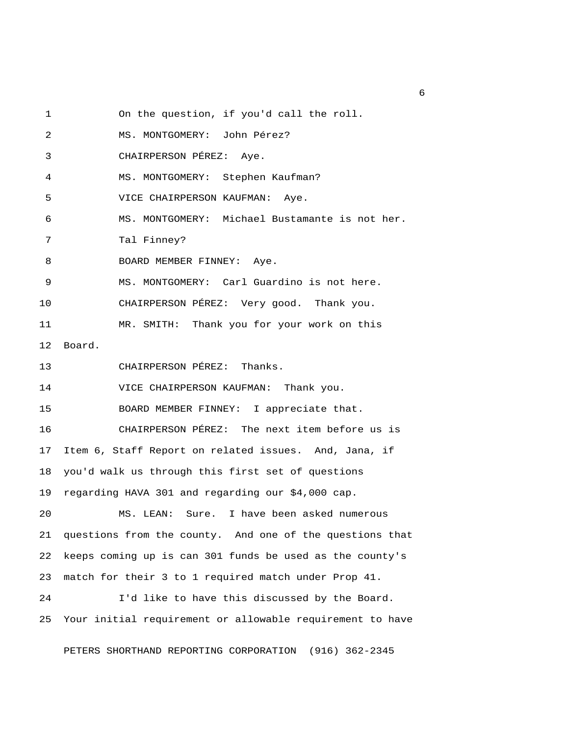1 On the question, if you'd call the roll.

2 MS. MONTGOMERY: John Pérez?

3 CHAIRPERSON PÉREZ: Aye.

4 MS. MONTGOMERY: Stephen Kaufman?

5 VICE CHAIRPERSON KAUFMAN: Aye.

6 MS. MONTGOMERY: Michael Bustamante is not her.

7 Tal Finney?

8 BOARD MEMBER FINNEY: Aye.

9 MS. MONTGOMERY: Carl Guardino is not here.

10 CHAIRPERSON PÉREZ: Very good. Thank you.

11 MR. SMITH: Thank you for your work on this

12 Board.

13 CHAIRPERSON PÉREZ: Thanks.

14 VICE CHAIRPERSON KAUFMAN: Thank you.

15 BOARD MEMBER FINNEY: I appreciate that.

16 CHAIRPERSON PÉREZ: The next item before us is 17 Item 6, Staff Report on related issues. And, Jana, if 18 you'd walk us through this first set of questions 19 regarding HAVA 301 and regarding our \$4,000 cap.

20 MS. LEAN: Sure. I have been asked numerous 21 questions from the county. And one of the questions that 22 keeps coming up is can 301 funds be used as the county's 23 match for their 3 to 1 required match under Prop 41.

24 I'd like to have this discussed by the Board. 25 Your initial requirement or allowable requirement to have

PETERS SHORTHAND REPORTING CORPORATION (916) 362-2345

 $6<sup>6</sup>$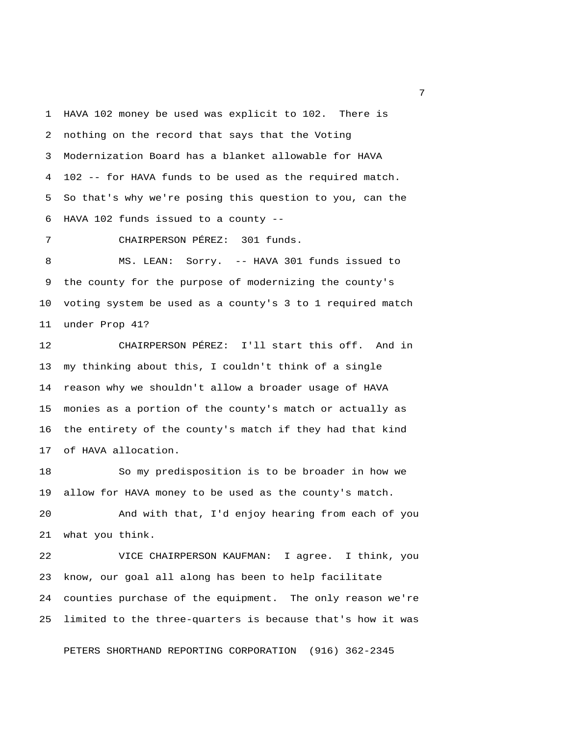1 HAVA 102 money be used was explicit to 102. There is 2 nothing on the record that says that the Voting 3 Modernization Board has a blanket allowable for HAVA 4 102 -- for HAVA funds to be used as the required match. 5 So that's why we're posing this question to you, can the 6 HAVA 102 funds issued to a county --

7 CHAIRPERSON PÉREZ: 301 funds.

 8 MS. LEAN: Sorry. -- HAVA 301 funds issued to 9 the county for the purpose of modernizing the county's 10 voting system be used as a county's 3 to 1 required match 11 under Prop 41?

12 CHAIRPERSON PÉREZ: I'll start this off. And in 13 my thinking about this, I couldn't think of a single 14 reason why we shouldn't allow a broader usage of HAVA 15 monies as a portion of the county's match or actually as 16 the entirety of the county's match if they had that kind 17 of HAVA allocation.

18 So my predisposition is to be broader in how we 19 allow for HAVA money to be used as the county's match.

20 And with that, I'd enjoy hearing from each of you 21 what you think.

22 VICE CHAIRPERSON KAUFMAN: I agree. I think, you 23 know, our goal all along has been to help facilitate 24 counties purchase of the equipment. The only reason we're 25 limited to the three-quarters is because that's how it was

PETERS SHORTHAND REPORTING CORPORATION (916) 362-2345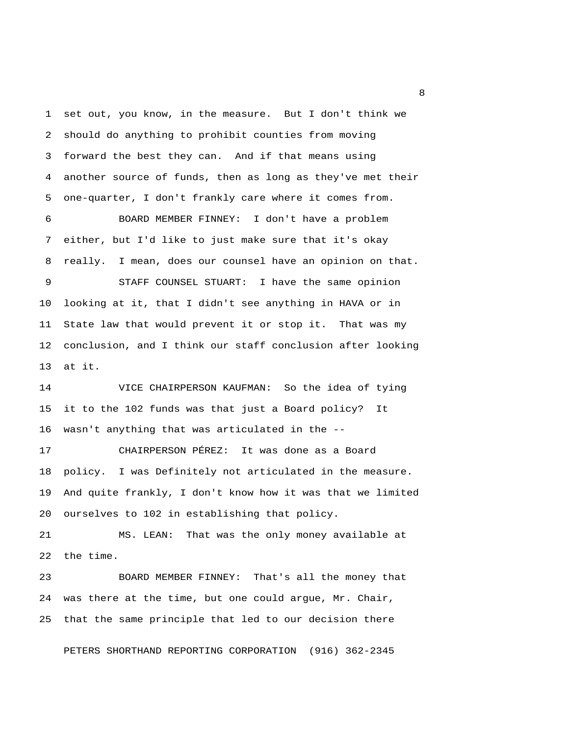1 set out, you know, in the measure. But I don't think we 2 should do anything to prohibit counties from moving 3 forward the best they can. And if that means using 4 another source of funds, then as long as they've met their 5 one-quarter, I don't frankly care where it comes from. 6 BOARD MEMBER FINNEY: I don't have a problem 7 either, but I'd like to just make sure that it's okay 8 really. I mean, does our counsel have an opinion on that. 9 STAFF COUNSEL STUART: I have the same opinion 10 looking at it, that I didn't see anything in HAVA or in 11 State law that would prevent it or stop it. That was my 12 conclusion, and I think our staff conclusion after looking 13 at it. 14 VICE CHAIRPERSON KAUFMAN: So the idea of tying 15 it to the 102 funds was that just a Board policy? It 16 wasn't anything that was articulated in the --

17 CHAIRPERSON PÉREZ: It was done as a Board 18 policy. I was Definitely not articulated in the measure. 19 And quite frankly, I don't know how it was that we limited 20 ourselves to 102 in establishing that policy.

21 MS. LEAN: That was the only money available at 22 the time.

23 BOARD MEMBER FINNEY: That's all the money that 24 was there at the time, but one could argue, Mr. Chair, 25 that the same principle that led to our decision there

PETERS SHORTHAND REPORTING CORPORATION (916) 362-2345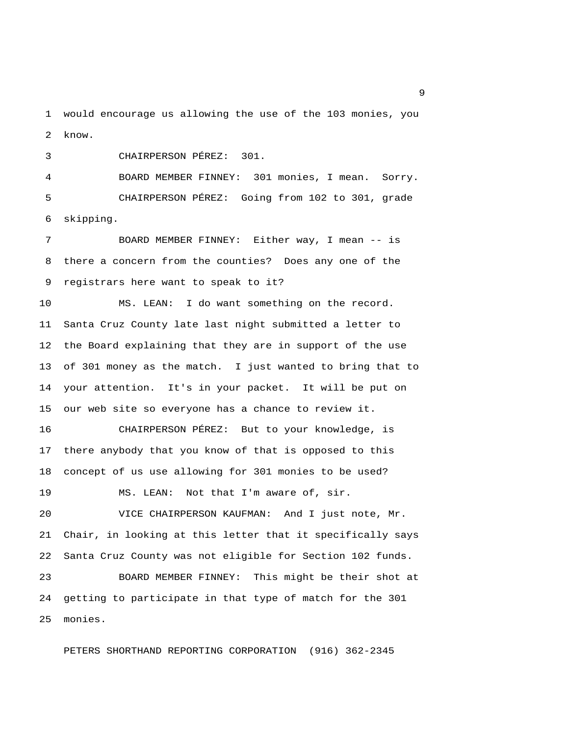1 would encourage us allowing the use of the 103 monies, you 2 know.

3 CHAIRPERSON PÉREZ: 301.

 4 BOARD MEMBER FINNEY: 301 monies, I mean. Sorry. 5 CHAIRPERSON PÉREZ: Going from 102 to 301, grade 6 skipping.

 7 BOARD MEMBER FINNEY: Either way, I mean -- is 8 there a concern from the counties? Does any one of the 9 registrars here want to speak to it?

10 MS. LEAN: I do want something on the record. 11 Santa Cruz County late last night submitted a letter to 12 the Board explaining that they are in support of the use 13 of 301 money as the match. I just wanted to bring that to 14 your attention. It's in your packet. It will be put on 15 our web site so everyone has a chance to review it.

16 CHAIRPERSON PÉREZ: But to your knowledge, is 17 there anybody that you know of that is opposed to this 18 concept of us use allowing for 301 monies to be used?

19 MS. LEAN: Not that I'm aware of, sir.

20 VICE CHAIRPERSON KAUFMAN: And I just note, Mr. 21 Chair, in looking at this letter that it specifically says 22 Santa Cruz County was not eligible for Section 102 funds.

23 BOARD MEMBER FINNEY: This might be their shot at 24 getting to participate in that type of match for the 301 25 monies.

PETERS SHORTHAND REPORTING CORPORATION (916) 362-2345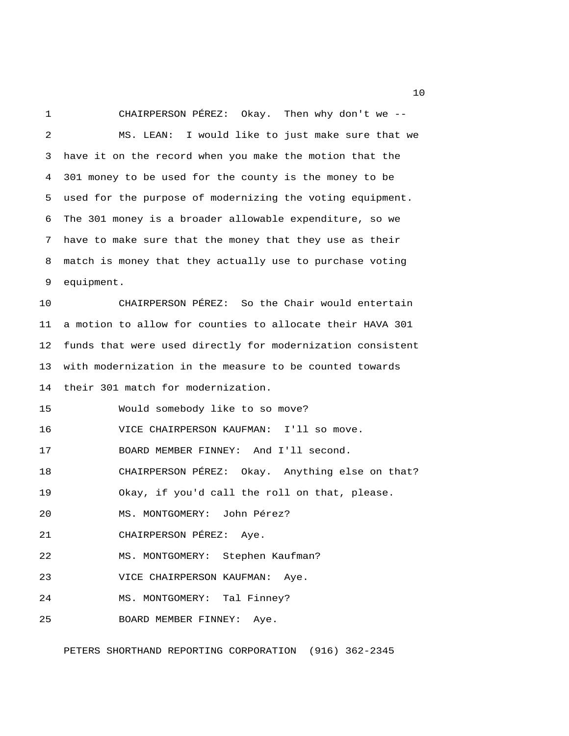1 CHAIRPERSON PÉREZ: Okay. Then why don't we -- 2 MS. LEAN: I would like to just make sure that we 3 have it on the record when you make the motion that the 4 301 money to be used for the county is the money to be 5 used for the purpose of modernizing the voting equipment. 6 The 301 money is a broader allowable expenditure, so we 7 have to make sure that the money that they use as their 8 match is money that they actually use to purchase voting 9 equipment.

10 CHAIRPERSON PÉREZ: So the Chair would entertain 11 a motion to allow for counties to allocate their HAVA 301 12 funds that were used directly for modernization consistent 13 with modernization in the measure to be counted towards 14 their 301 match for modernization.

15 Would somebody like to so move?

16 VICE CHAIRPERSON KAUFMAN: I'll so move.

17 BOARD MEMBER FINNEY: And I'll second.

18 CHAIRPERSON PÉREZ: Okay. Anything else on that?

19 Okay, if you'd call the roll on that, please.

20 MS. MONTGOMERY: John Pérez?

21 CHAIRPERSON PÉREZ: Aye.

22 MS. MONTGOMERY: Stephen Kaufman?

23 VICE CHAIRPERSON KAUFMAN: Aye.

24 MS. MONTGOMERY: Tal Finney?

25 BOARD MEMBER FINNEY: Aye.

PETERS SHORTHAND REPORTING CORPORATION (916) 362-2345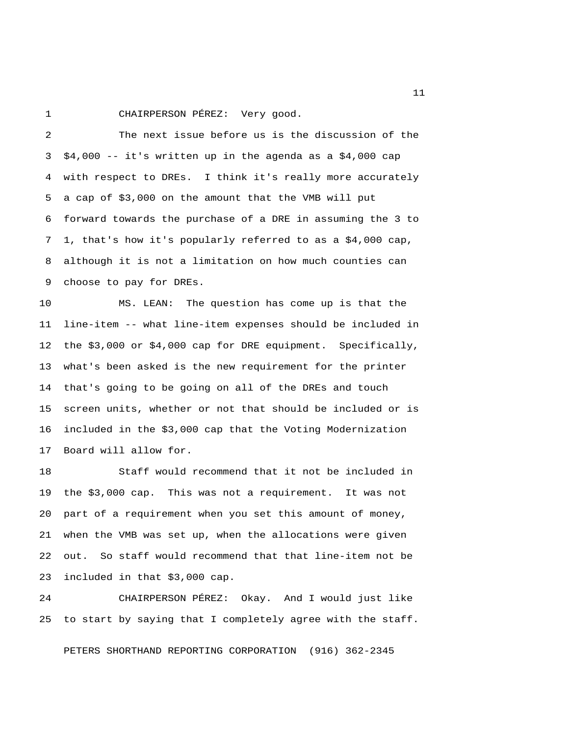1 CHAIRPERSON PÉREZ: Very good.

 2 The next issue before us is the discussion of the  $3$  \$4,000 -- it's written up in the agenda as a \$4,000 cap 4 with respect to DREs. I think it's really more accurately 5 a cap of \$3,000 on the amount that the VMB will put 6 forward towards the purchase of a DRE in assuming the 3 to 7 1, that's how it's popularly referred to as a \$4,000 cap, 8 although it is not a limitation on how much counties can 9 choose to pay for DREs.

10 MS. LEAN: The question has come up is that the 11 line-item -- what line-item expenses should be included in 12 the \$3,000 or \$4,000 cap for DRE equipment. Specifically, 13 what's been asked is the new requirement for the printer 14 that's going to be going on all of the DREs and touch 15 screen units, whether or not that should be included or is 16 included in the \$3,000 cap that the Voting Modernization 17 Board will allow for.

18 Staff would recommend that it not be included in 19 the \$3,000 cap. This was not a requirement. It was not 20 part of a requirement when you set this amount of money, 21 when the VMB was set up, when the allocations were given 22 out. So staff would recommend that that line-item not be 23 included in that \$3,000 cap.

24 CHAIRPERSON PÉREZ: Okay. And I would just like 25 to start by saying that I completely agree with the staff.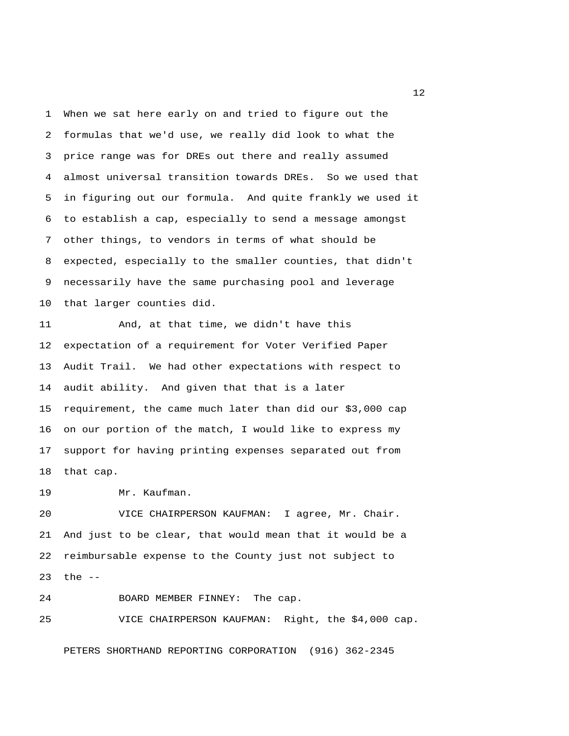1 When we sat here early on and tried to figure out the 2 formulas that we'd use, we really did look to what the 3 price range was for DREs out there and really assumed 4 almost universal transition towards DREs. So we used that 5 in figuring out our formula. And quite frankly we used it 6 to establish a cap, especially to send a message amongst 7 other things, to vendors in terms of what should be 8 expected, especially to the smaller counties, that didn't 9 necessarily have the same purchasing pool and leverage 10 that larger counties did.

11 And, at that time, we didn't have this 12 expectation of a requirement for Voter Verified Paper 13 Audit Trail. We had other expectations with respect to 14 audit ability. And given that that is a later 15 requirement, the came much later than did our \$3,000 cap 16 on our portion of the match, I would like to express my 17 support for having printing expenses separated out from 18 that cap.

19 Mr. Kaufman.

20 VICE CHAIRPERSON KAUFMAN: I agree, Mr. Chair. 21 And just to be clear, that would mean that it would be a 22 reimbursable expense to the County just not subject to 23 the --

24 BOARD MEMBER FINNEY: The cap.

25 VICE CHAIRPERSON KAUFMAN: Right, the \$4,000 cap.

PETERS SHORTHAND REPORTING CORPORATION (916) 362-2345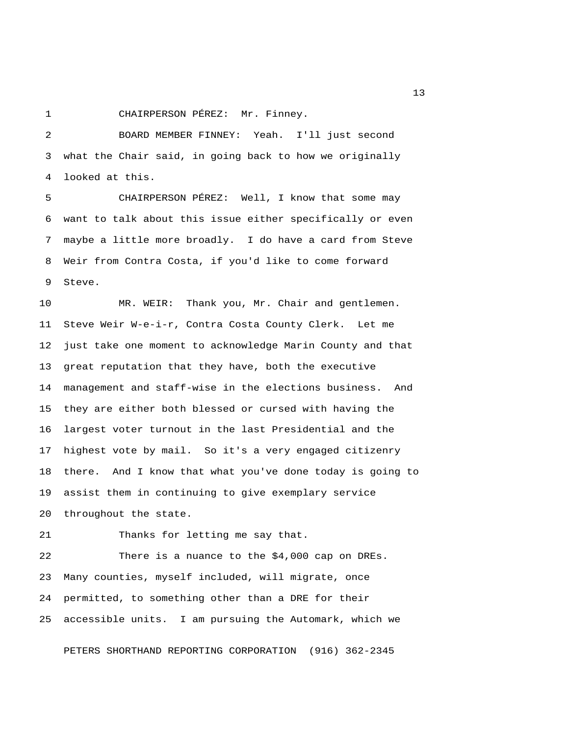1 CHAIRPERSON PÉREZ: Mr. Finney.

 2 BOARD MEMBER FINNEY: Yeah. I'll just second 3 what the Chair said, in going back to how we originally 4 looked at this.

 5 CHAIRPERSON PÉREZ: Well, I know that some may 6 want to talk about this issue either specifically or even 7 maybe a little more broadly. I do have a card from Steve 8 Weir from Contra Costa, if you'd like to come forward 9 Steve.

10 MR. WEIR: Thank you, Mr. Chair and gentlemen. 11 Steve Weir W-e-i-r, Contra Costa County Clerk. Let me 12 just take one moment to acknowledge Marin County and that 13 great reputation that they have, both the executive 14 management and staff-wise in the elections business. And 15 they are either both blessed or cursed with having the 16 largest voter turnout in the last Presidential and the 17 highest vote by mail. So it's a very engaged citizenry 18 there. And I know that what you've done today is going to 19 assist them in continuing to give exemplary service 20 throughout the state.

21 Thanks for letting me say that.

22 There is a nuance to the \$4,000 cap on DREs. 23 Many counties, myself included, will migrate, once 24 permitted, to something other than a DRE for their 25 accessible units. I am pursuing the Automark, which we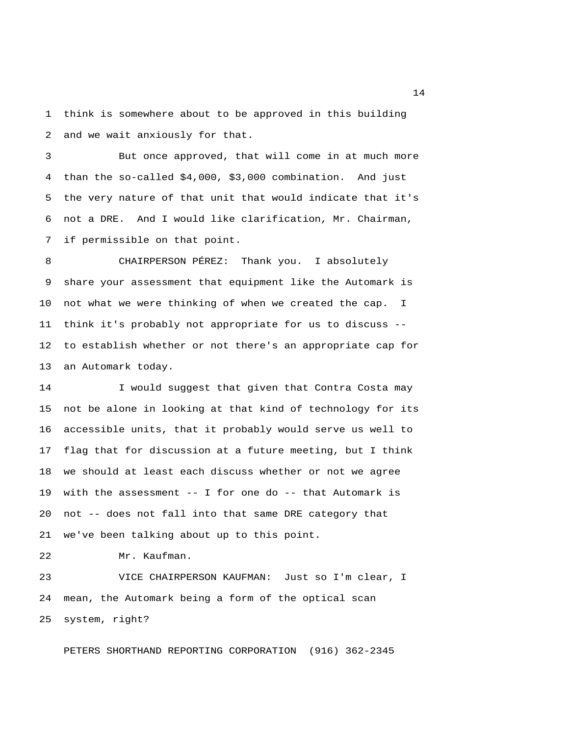1 think is somewhere about to be approved in this building 2 and we wait anxiously for that.

 3 But once approved, that will come in at much more 4 than the so-called \$4,000, \$3,000 combination. And just 5 the very nature of that unit that would indicate that it's 6 not a DRE. And I would like clarification, Mr. Chairman, 7 if permissible on that point.

 8 CHAIRPERSON PÉREZ: Thank you. I absolutely 9 share your assessment that equipment like the Automark is 10 not what we were thinking of when we created the cap. I 11 think it's probably not appropriate for us to discuss -- 12 to establish whether or not there's an appropriate cap for 13 an Automark today.

14 I would suggest that given that Contra Costa may 15 not be alone in looking at that kind of technology for its 16 accessible units, that it probably would serve us well to 17 flag that for discussion at a future meeting, but I think 18 we should at least each discuss whether or not we agree 19 with the assessment -- I for one do -- that Automark is 20 not -- does not fall into that same DRE category that 21 we've been talking about up to this point.

22 Mr. Kaufman.

23 VICE CHAIRPERSON KAUFMAN: Just so I'm clear, I 24 mean, the Automark being a form of the optical scan 25 system, right?

PETERS SHORTHAND REPORTING CORPORATION (916) 362-2345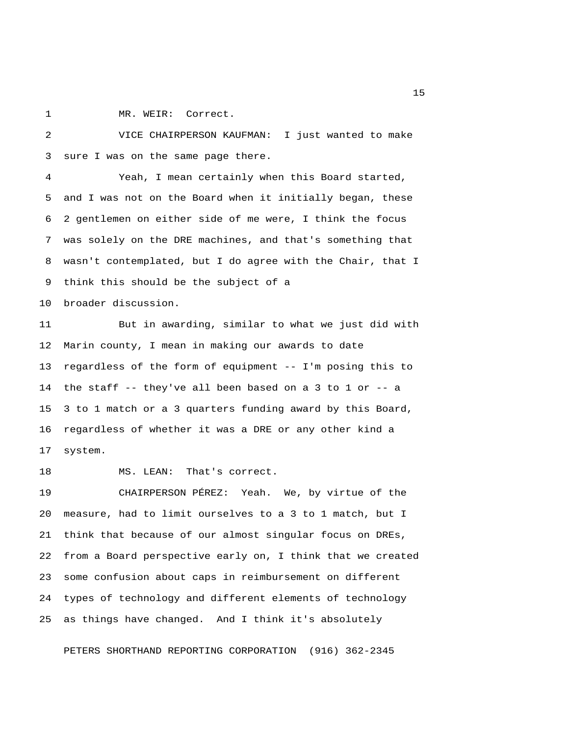1 MR. WEIR: Correct.

 2 VICE CHAIRPERSON KAUFMAN: I just wanted to make 3 sure I was on the same page there.

 4 Yeah, I mean certainly when this Board started, 5 and I was not on the Board when it initially began, these 6 2 gentlemen on either side of me were, I think the focus 7 was solely on the DRE machines, and that's something that 8 wasn't contemplated, but I do agree with the Chair, that I 9 think this should be the subject of a

10 broader discussion.

11 But in awarding, similar to what we just did with 12 Marin county, I mean in making our awards to date 13 regardless of the form of equipment -- I'm posing this to 14 the staff -- they've all been based on a 3 to 1 or -- a 15 3 to 1 match or a 3 quarters funding award by this Board, 16 regardless of whether it was a DRE or any other kind a 17 system.

18 MS. LEAN: That's correct.

19 CHAIRPERSON PÉREZ: Yeah. We, by virtue of the 20 measure, had to limit ourselves to a 3 to 1 match, but I 21 think that because of our almost singular focus on DREs, 22 from a Board perspective early on, I think that we created 23 some confusion about caps in reimbursement on different 24 types of technology and different elements of technology 25 as things have changed. And I think it's absolutely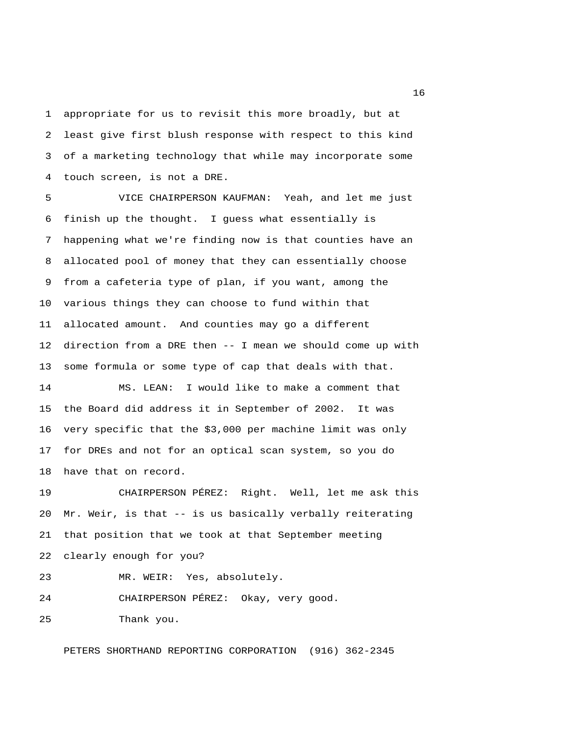1 appropriate for us to revisit this more broadly, but at 2 least give first blush response with respect to this kind 3 of a marketing technology that while may incorporate some 4 touch screen, is not a DRE.

 5 VICE CHAIRPERSON KAUFMAN: Yeah, and let me just 6 finish up the thought. I guess what essentially is 7 happening what we're finding now is that counties have an 8 allocated pool of money that they can essentially choose 9 from a cafeteria type of plan, if you want, among the 10 various things they can choose to fund within that 11 allocated amount. And counties may go a different 12 direction from a DRE then -- I mean we should come up with 13 some formula or some type of cap that deals with that. 14 MS. LEAN: I would like to make a comment that 15 the Board did address it in September of 2002. It was

16 very specific that the \$3,000 per machine limit was only 17 for DREs and not for an optical scan system, so you do 18 have that on record.

19 CHAIRPERSON PÉREZ: Right. Well, let me ask this 20 Mr. Weir, is that -- is us basically verbally reiterating 21 that position that we took at that September meeting 22 clearly enough for you?

23 MR. WEIR: Yes, absolutely.

24 CHAIRPERSON PÉREZ: Okay, very good.

25 Thank you.

PETERS SHORTHAND REPORTING CORPORATION (916) 362-2345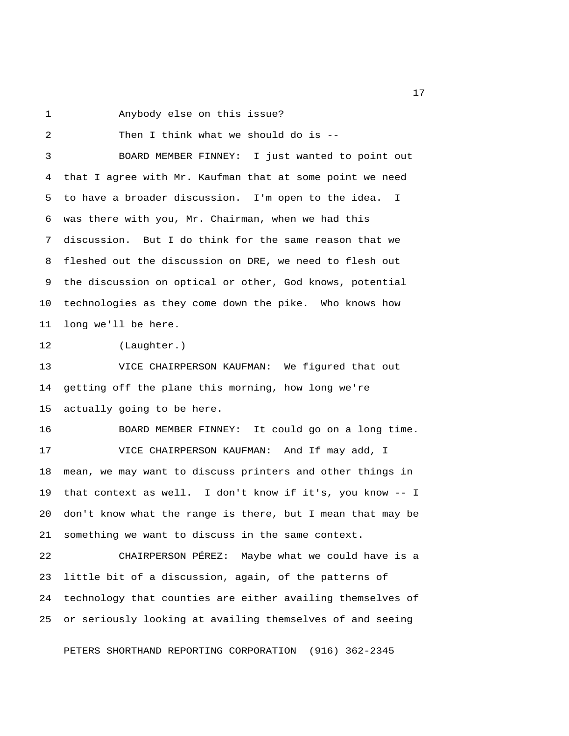1 Anybody else on this issue?

 2 Then I think what we should do is -- 3 BOARD MEMBER FINNEY: I just wanted to point out 4 that I agree with Mr. Kaufman that at some point we need 5 to have a broader discussion. I'm open to the idea. I 6 was there with you, Mr. Chairman, when we had this 7 discussion. But I do think for the same reason that we 8 fleshed out the discussion on DRE, we need to flesh out 9 the discussion on optical or other, God knows, potential 10 technologies as they come down the pike. Who knows how 11 long we'll be here. 12 (Laughter.) 13 VICE CHAIRPERSON KAUFMAN: We figured that out 14 getting off the plane this morning, how long we're 15 actually going to be here. 16 BOARD MEMBER FINNEY: It could go on a long time. 17 VICE CHAIRPERSON KAUFMAN: And If may add, I 18 mean, we may want to discuss printers and other things in 19 that context as well. I don't know if it's, you know -- I 20 don't know what the range is there, but I mean that may be 21 something we want to discuss in the same context. 22 CHAIRPERSON PÉREZ: Maybe what we could have is a 23 little bit of a discussion, again, of the patterns of 24 technology that counties are either availing themselves of 25 or seriously looking at availing themselves of and seeing

PETERS SHORTHAND REPORTING CORPORATION (916) 362-2345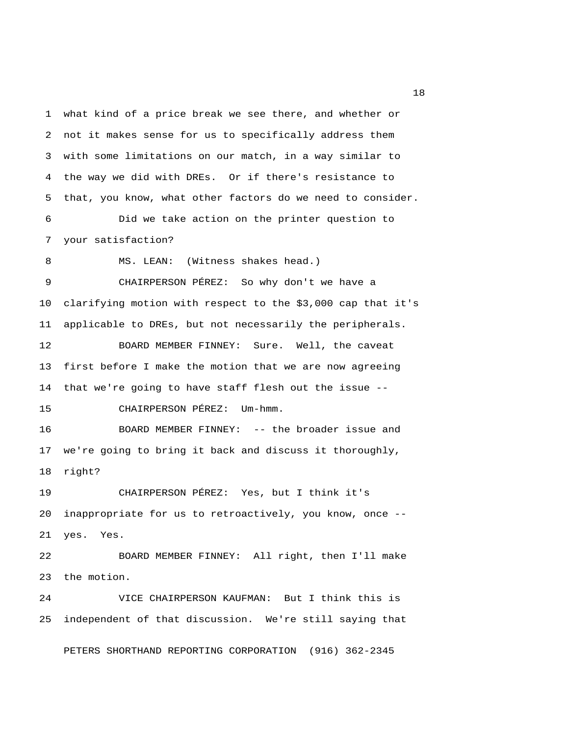1 what kind of a price break we see there, and whether or 2 not it makes sense for us to specifically address them 3 with some limitations on our match, in a way similar to 4 the way we did with DREs. Or if there's resistance to 5 that, you know, what other factors do we need to consider. 6 Did we take action on the printer question to 7 your satisfaction? 8 MS. LEAN: (Witness shakes head.) 9 CHAIRPERSON PÉREZ: So why don't we have a 10 clarifying motion with respect to the \$3,000 cap that it's 11 applicable to DREs, but not necessarily the peripherals. 12 BOARD MEMBER FINNEY: Sure. Well, the caveat 13 first before I make the motion that we are now agreeing 14 that we're going to have staff flesh out the issue -- 15 CHAIRPERSON PÉREZ: Um-hmm. 16 BOARD MEMBER FINNEY: -- the broader issue and 17 we're going to bring it back and discuss it thoroughly, 18 right? 19 CHAIRPERSON PÉREZ: Yes, but I think it's 20 inappropriate for us to retroactively, you know, once -- 21 yes. Yes. 22 BOARD MEMBER FINNEY: All right, then I'll make 23 the motion. 24 VICE CHAIRPERSON KAUFMAN: But I think this is 25 independent of that discussion. We're still saying that

PETERS SHORTHAND REPORTING CORPORATION (916) 362-2345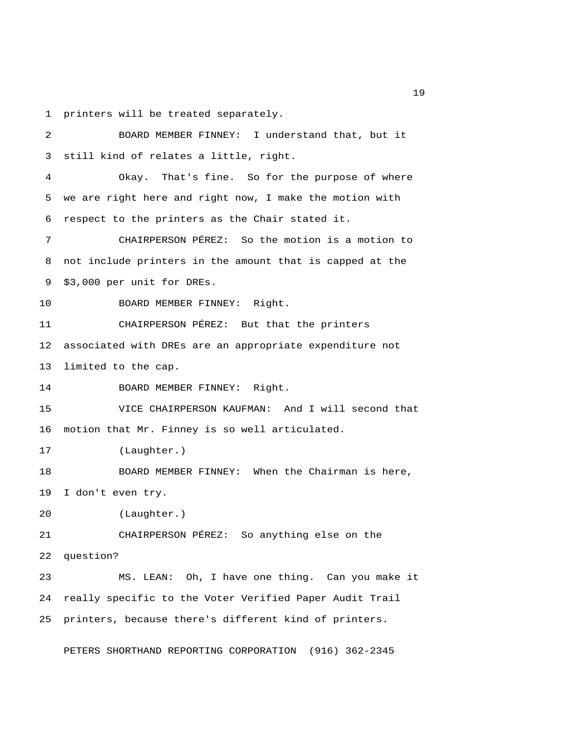1 printers will be treated separately.

 2 BOARD MEMBER FINNEY: I understand that, but it 3 still kind of relates a little, right. 4 Okay. That's fine. So for the purpose of where 5 we are right here and right now, I make the motion with 6 respect to the printers as the Chair stated it. 7 CHAIRPERSON PÉREZ: So the motion is a motion to 8 not include printers in the amount that is capped at the 9 \$3,000 per unit for DREs. 10 BOARD MEMBER FINNEY: Right. 11 CHAIRPERSON PÉREZ: But that the printers 12 associated with DREs are an appropriate expenditure not 13 limited to the cap. 14 BOARD MEMBER FINNEY: Right. 15 VICE CHAIRPERSON KAUFMAN: And I will second that 16 motion that Mr. Finney is so well articulated. 17 (Laughter.) 18 BOARD MEMBER FINNEY: When the Chairman is here, 19 I don't even try. 20 (Laughter.) 21 CHAIRPERSON PÉREZ: So anything else on the 22 question? 23 MS. LEAN: Oh, I have one thing. Can you make it 24 really specific to the Voter Verified Paper Audit Trail 25 printers, because there's different kind of printers.

PETERS SHORTHAND REPORTING CORPORATION (916) 362-2345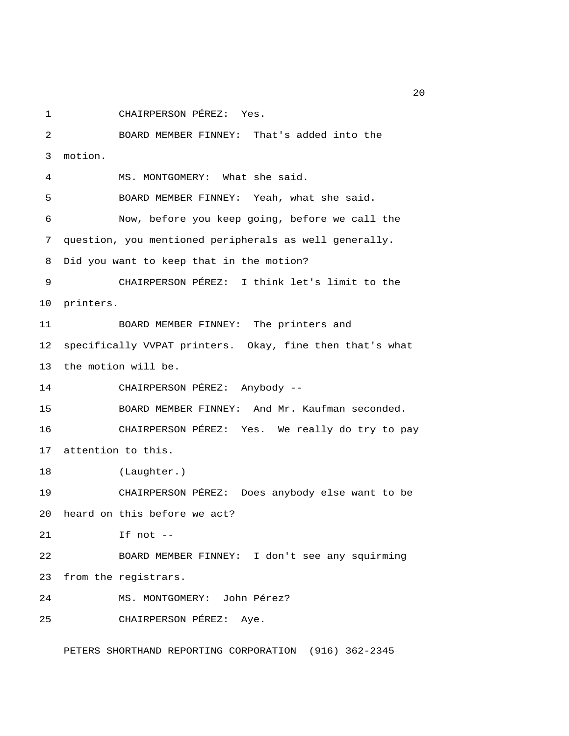1 CHAIRPERSON PÉREZ: Yes.

 2 BOARD MEMBER FINNEY: That's added into the 3 motion. 4 MS. MONTGOMERY: What she said. 5 BOARD MEMBER FINNEY: Yeah, what she said. 6 Now, before you keep going, before we call the 7 question, you mentioned peripherals as well generally. 8 Did you want to keep that in the motion? 9 CHAIRPERSON PÉREZ: I think let's limit to the 10 printers. 11 BOARD MEMBER FINNEY: The printers and 12 specifically VVPAT printers. Okay, fine then that's what 13 the motion will be. 14 CHAIRPERSON PÉREZ: Anybody -- 15 BOARD MEMBER FINNEY: And Mr. Kaufman seconded. 16 CHAIRPERSON PÉREZ: Yes. We really do try to pay 17 attention to this. 18 (Laughter.) 19 CHAIRPERSON PÉREZ: Does anybody else want to be 20 heard on this before we act? 21 If not -- 22 BOARD MEMBER FINNEY: I don't see any squirming 23 from the registrars. 24 MS. MONTGOMERY: John Pérez? 25 CHAIRPERSON PÉREZ: Aye.

PETERS SHORTHAND REPORTING CORPORATION (916) 362-2345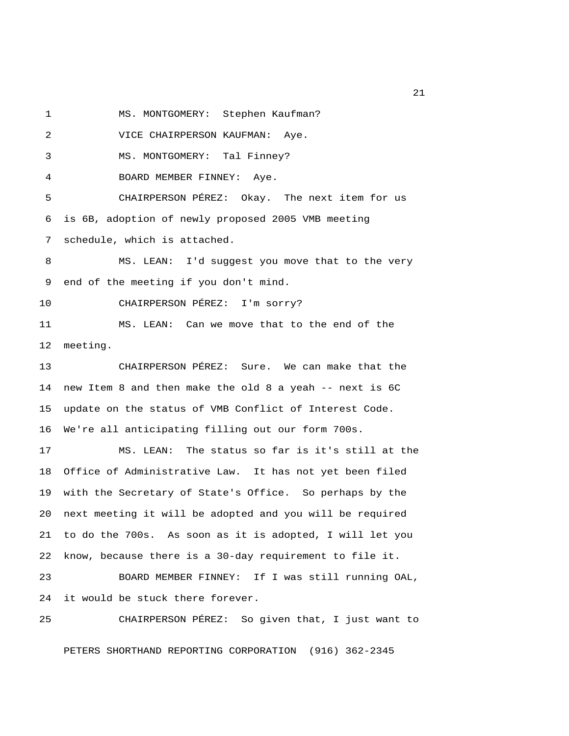1 MS. MONTGOMERY: Stephen Kaufman?

2 VICE CHAIRPERSON KAUFMAN: Aye.

3 MS. MONTGOMERY: Tal Finney?

4 BOARD MEMBER FINNEY: Aye.

 5 CHAIRPERSON PÉREZ: Okay. The next item for us 6 is 6B, adoption of newly proposed 2005 VMB meeting 7 schedule, which is attached.

 8 MS. LEAN: I'd suggest you move that to the very 9 end of the meeting if you don't mind.

10 CHAIRPERSON PÉREZ: I'm sorry?

11 MS. LEAN: Can we move that to the end of the 12 meeting.

13 CHAIRPERSON PÉREZ: Sure. We can make that the 14 new Item 8 and then make the old 8 a yeah -- next is 6C 15 update on the status of VMB Conflict of Interest Code. 16 We're all anticipating filling out our form 700s.

17 MS. LEAN: The status so far is it's still at the 18 Office of Administrative Law. It has not yet been filed 19 with the Secretary of State's Office. So perhaps by the 20 next meeting it will be adopted and you will be required 21 to do the 700s. As soon as it is adopted, I will let you 22 know, because there is a 30-day requirement to file it.

23 BOARD MEMBER FINNEY: If I was still running OAL, 24 it would be stuck there forever.

25 CHAIRPERSON PÉREZ: So given that, I just want to PETERS SHORTHAND REPORTING CORPORATION (916) 362-2345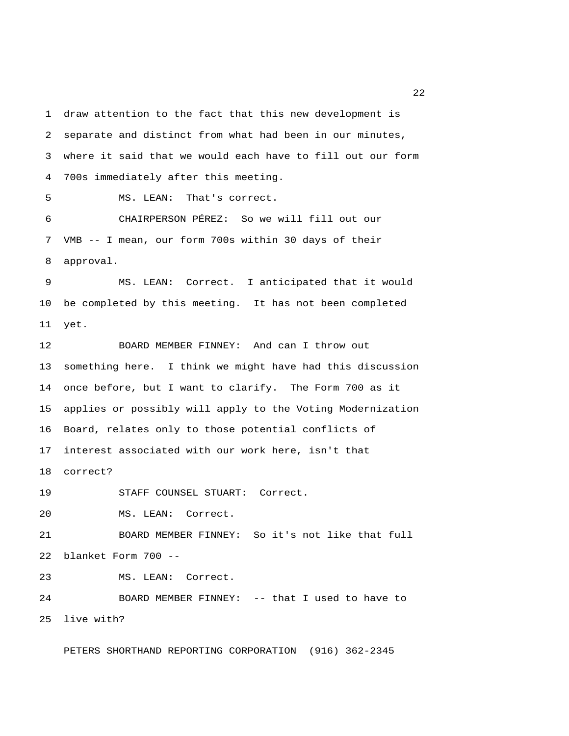1 draw attention to the fact that this new development is 2 separate and distinct from what had been in our minutes, 3 where it said that we would each have to fill out our form 4 700s immediately after this meeting.

5 MS. LEAN: That's correct.

 6 CHAIRPERSON PÉREZ: So we will fill out our 7 VMB -- I mean, our form 700s within 30 days of their 8 approval.

 9 MS. LEAN: Correct. I anticipated that it would 10 be completed by this meeting. It has not been completed 11 yet.

12 BOARD MEMBER FINNEY: And can I throw out 13 something here. I think we might have had this discussion 14 once before, but I want to clarify. The Form 700 as it 15 applies or possibly will apply to the Voting Modernization 16 Board, relates only to those potential conflicts of 17 interest associated with our work here, isn't that 18 correct?

19 STAFF COUNSEL STUART: Correct.

20 MS. LEAN: Correct.

21 BOARD MEMBER FINNEY: So it's not like that full 22 blanket Form 700 --

23 MS. LEAN: Correct.

24 BOARD MEMBER FINNEY: -- that I used to have to 25 live with?

PETERS SHORTHAND REPORTING CORPORATION (916) 362-2345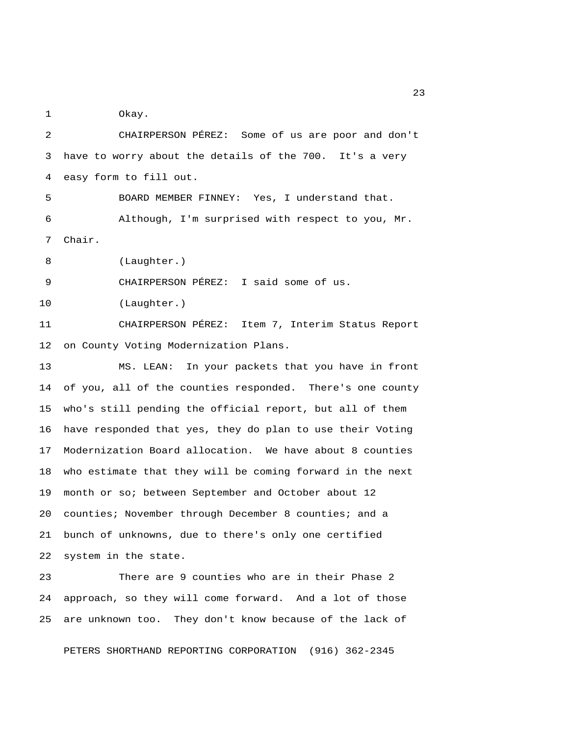1 Okay.

 2 CHAIRPERSON PÉREZ: Some of us are poor and don't 3 have to worry about the details of the 700. It's a very 4 easy form to fill out. 5 BOARD MEMBER FINNEY: Yes, I understand that. 6 Although, I'm surprised with respect to you, Mr. 7 Chair. 8 (Laughter.) 9 CHAIRPERSON PÉREZ: I said some of us. 10 (Laughter.) 11 CHAIRPERSON PÉREZ: Item 7, Interim Status Report 12 on County Voting Modernization Plans. 13 MS. LEAN: In your packets that you have in front 14 of you, all of the counties responded. There's one county 15 who's still pending the official report, but all of them 16 have responded that yes, they do plan to use their Voting 17 Modernization Board allocation. We have about 8 counties 18 who estimate that they will be coming forward in the next 19 month or so; between September and October about 12 20 counties; November through December 8 counties; and a 21 bunch of unknowns, due to there's only one certified 22 system in the state. 23 There are 9 counties who are in their Phase 2

24 approach, so they will come forward. And a lot of those 25 are unknown too. They don't know because of the lack of

PETERS SHORTHAND REPORTING CORPORATION (916) 362-2345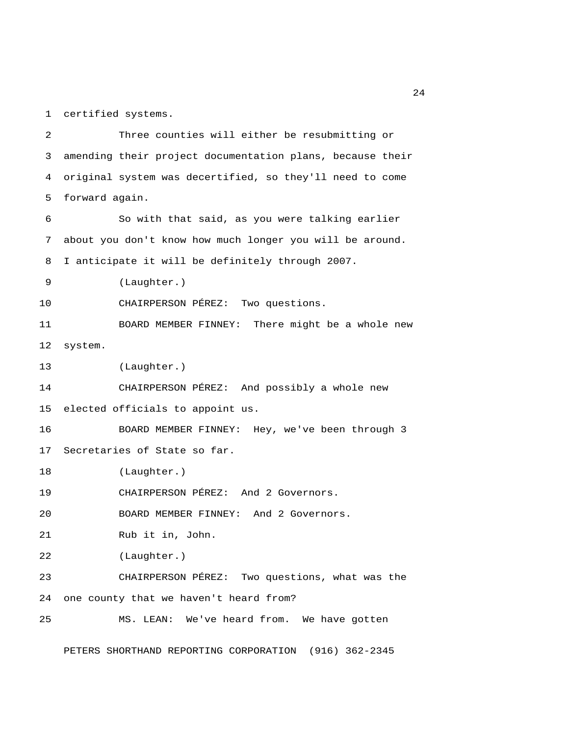1 certified systems.

 2 Three counties will either be resubmitting or 3 amending their project documentation plans, because their 4 original system was decertified, so they'll need to come 5 forward again. 6 So with that said, as you were talking earlier 7 about you don't know how much longer you will be around. 8 I anticipate it will be definitely through 2007. 9 (Laughter.) 10 CHAIRPERSON PÉREZ: Two questions. 11 BOARD MEMBER FINNEY: There might be a whole new 12 system. 13 (Laughter.) 14 CHAIRPERSON PÉREZ: And possibly a whole new 15 elected officials to appoint us. 16 BOARD MEMBER FINNEY: Hey, we've been through 3 17 Secretaries of State so far. 18 (Laughter.) 19 CHAIRPERSON PÉREZ: And 2 Governors. 20 BOARD MEMBER FINNEY: And 2 Governors. 21 Rub it in, John. 22 (Laughter.) 23 CHAIRPERSON PÉREZ: Two questions, what was the 24 one county that we haven't heard from? 25 MS. LEAN: We've heard from. We have gotten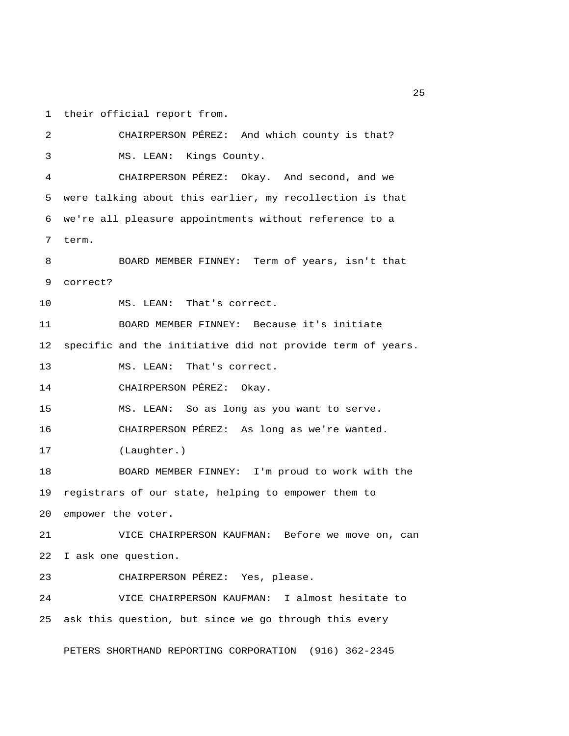1 their official report from.

 2 CHAIRPERSON PÉREZ: And which county is that? 3 MS. LEAN: Kings County. 4 CHAIRPERSON PÉREZ: Okay. And second, and we 5 were talking about this earlier, my recollection is that 6 we're all pleasure appointments without reference to a 7 term. 8 BOARD MEMBER FINNEY: Term of years, isn't that 9 correct? 10 MS. LEAN: That's correct. 11 BOARD MEMBER FINNEY: Because it's initiate 12 specific and the initiative did not provide term of years. 13 MS. LEAN: That's correct. 14 CHAIRPERSON PÉREZ: Okay. 15 MS. LEAN: So as long as you want to serve. 16 CHAIRPERSON PÉREZ: As long as we're wanted. 17 (Laughter.) 18 BOARD MEMBER FINNEY: I'm proud to work with the 19 registrars of our state, helping to empower them to 20 empower the voter. 21 VICE CHAIRPERSON KAUFMAN: Before we move on, can 22 I ask one question. 23 CHAIRPERSON PÉREZ: Yes, please. 24 VICE CHAIRPERSON KAUFMAN: I almost hesitate to 25 ask this question, but since we go through this every PETERS SHORTHAND REPORTING CORPORATION (916) 362-2345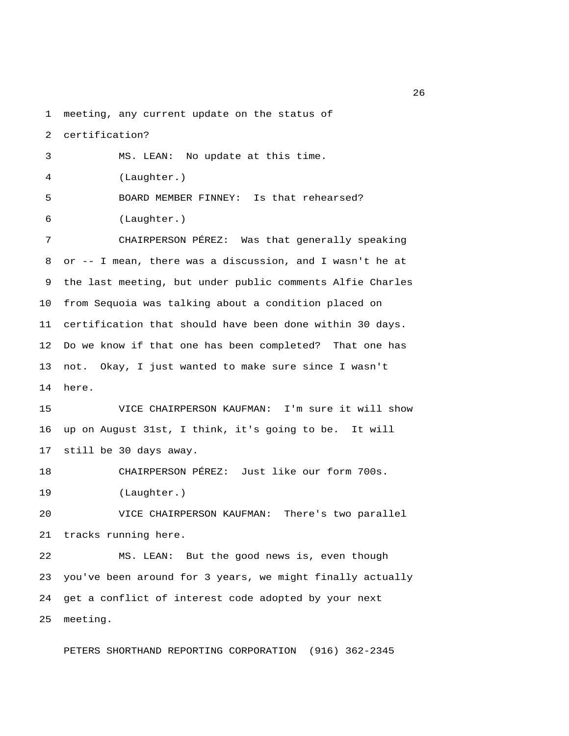1 meeting, any current update on the status of

2 certification?

 3 MS. LEAN: No update at this time. 4 (Laughter.) 5 BOARD MEMBER FINNEY: Is that rehearsed? 6 (Laughter.) 7 CHAIRPERSON PÉREZ: Was that generally speaking 8 or -- I mean, there was a discussion, and I wasn't he at 9 the last meeting, but under public comments Alfie Charles 10 from Sequoia was talking about a condition placed on 11 certification that should have been done within 30 days. 12 Do we know if that one has been completed? That one has 13 not. Okay, I just wanted to make sure since I wasn't 14 here. 15 VICE CHAIRPERSON KAUFMAN: I'm sure it will show 16 up on August 31st, I think, it's going to be. It will 17 still be 30 days away. 18 CHAIRPERSON PÉREZ: Just like our form 700s. 19 (Laughter.) 20 VICE CHAIRPERSON KAUFMAN: There's two parallel 21 tracks running here. 22 MS. LEAN: But the good news is, even though 23 you've been around for 3 years, we might finally actually

25 meeting.

PETERS SHORTHAND REPORTING CORPORATION (916) 362-2345

24 get a conflict of interest code adopted by your next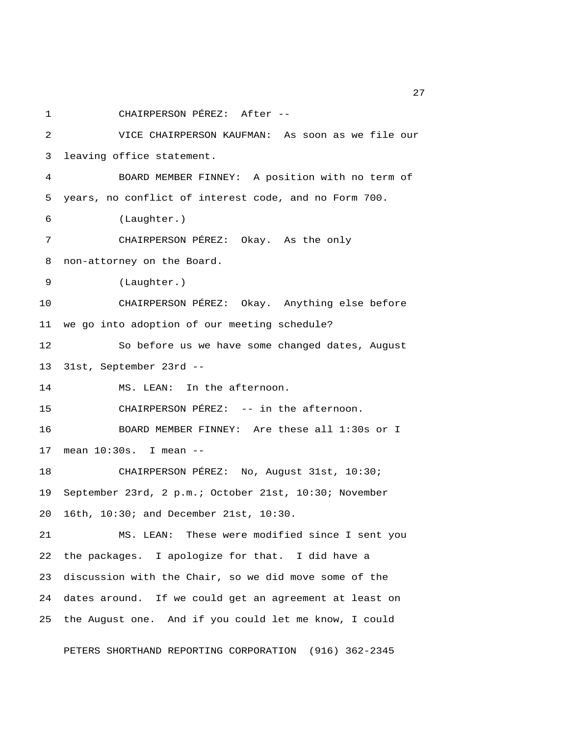1 CHAIRPERSON PÉREZ: After -- 2 VICE CHAIRPERSON KAUFMAN: As soon as we file our 3 leaving office statement. 4 BOARD MEMBER FINNEY: A position with no term of 5 years, no conflict of interest code, and no Form 700. 6 (Laughter.) 7 CHAIRPERSON PÉREZ: Okay. As the only 8 non-attorney on the Board. 9 (Laughter.) 10 CHAIRPERSON PÉREZ: Okay. Anything else before 11 we go into adoption of our meeting schedule? 12 So before us we have some changed dates, August 13 31st, September 23rd -- 14 MS. LEAN: In the afternoon. 15 CHAIRPERSON PÉREZ: -- in the afternoon. 16 BOARD MEMBER FINNEY: Are these all 1:30s or I 17 mean 10:30s. I mean -- 18 CHAIRPERSON PÉREZ: No, August 31st, 10:30; 19 September 23rd, 2 p.m.; October 21st, 10:30; November 20 16th, 10:30; and December 21st, 10:30. 21 MS. LEAN: These were modified since I sent you 22 the packages. I apologize for that. I did have a 23 discussion with the Chair, so we did move some of the 24 dates around. If we could get an agreement at least on 25 the August one. And if you could let me know, I could

PETERS SHORTHAND REPORTING CORPORATION (916) 362-2345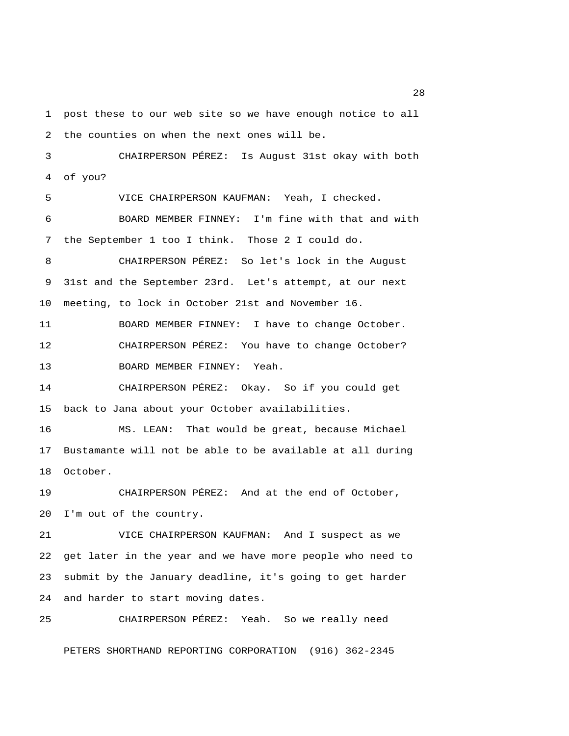1 post these to our web site so we have enough notice to all 2 the counties on when the next ones will be. 3 CHAIRPERSON PÉREZ: Is August 31st okay with both 4 of you? 5 VICE CHAIRPERSON KAUFMAN: Yeah, I checked. 6 BOARD MEMBER FINNEY: I'm fine with that and with 7 the September 1 too I think. Those 2 I could do. 8 CHAIRPERSON PÉREZ: So let's lock in the August 9 31st and the September 23rd. Let's attempt, at our next 10 meeting, to lock in October 21st and November 16. 11 BOARD MEMBER FINNEY: I have to change October. 12 CHAIRPERSON PÉREZ: You have to change October? 13 BOARD MEMBER FINNEY: Yeah. 14 CHAIRPERSON PÉREZ: Okay. So if you could get 15 back to Jana about your October availabilities. 16 MS. LEAN: That would be great, because Michael 17 Bustamante will not be able to be available at all during 18 October. 19 CHAIRPERSON PÉREZ: And at the end of October, 20 I'm out of the country. 21 VICE CHAIRPERSON KAUFMAN: And I suspect as we 22 get later in the year and we have more people who need to 23 submit by the January deadline, it's going to get harder 24 and harder to start moving dates.

PETERS SHORTHAND REPORTING CORPORATION (916) 362-2345

25 CHAIRPERSON PÉREZ: Yeah. So we really need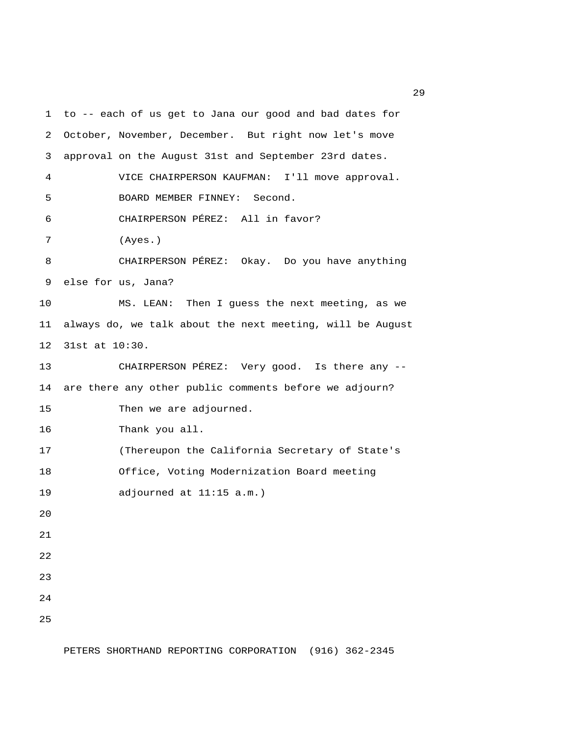1 to -- each of us get to Jana our good and bad dates for 2 October, November, December. But right now let's move 3 approval on the August 31st and September 23rd dates. 4 VICE CHAIRPERSON KAUFMAN: I'll move approval. 5 BOARD MEMBER FINNEY: Second. 6 CHAIRPERSON PÉREZ: All in favor? 7 (Ayes.) 8 CHAIRPERSON PÉREZ: Okay. Do you have anything 9 else for us, Jana? 10 MS. LEAN: Then I guess the next meeting, as we 11 always do, we talk about the next meeting, will be August 12 31st at 10:30. 13 CHAIRPERSON PÉREZ: Very good. Is there any -- 14 are there any other public comments before we adjourn? 15 Then we are adjourned. 16 Thank you all. 17 (Thereupon the California Secretary of State's 18 Office, Voting Modernization Board meeting 19 adjourned at 11:15 a.m.) 20 21 22 23 24 25